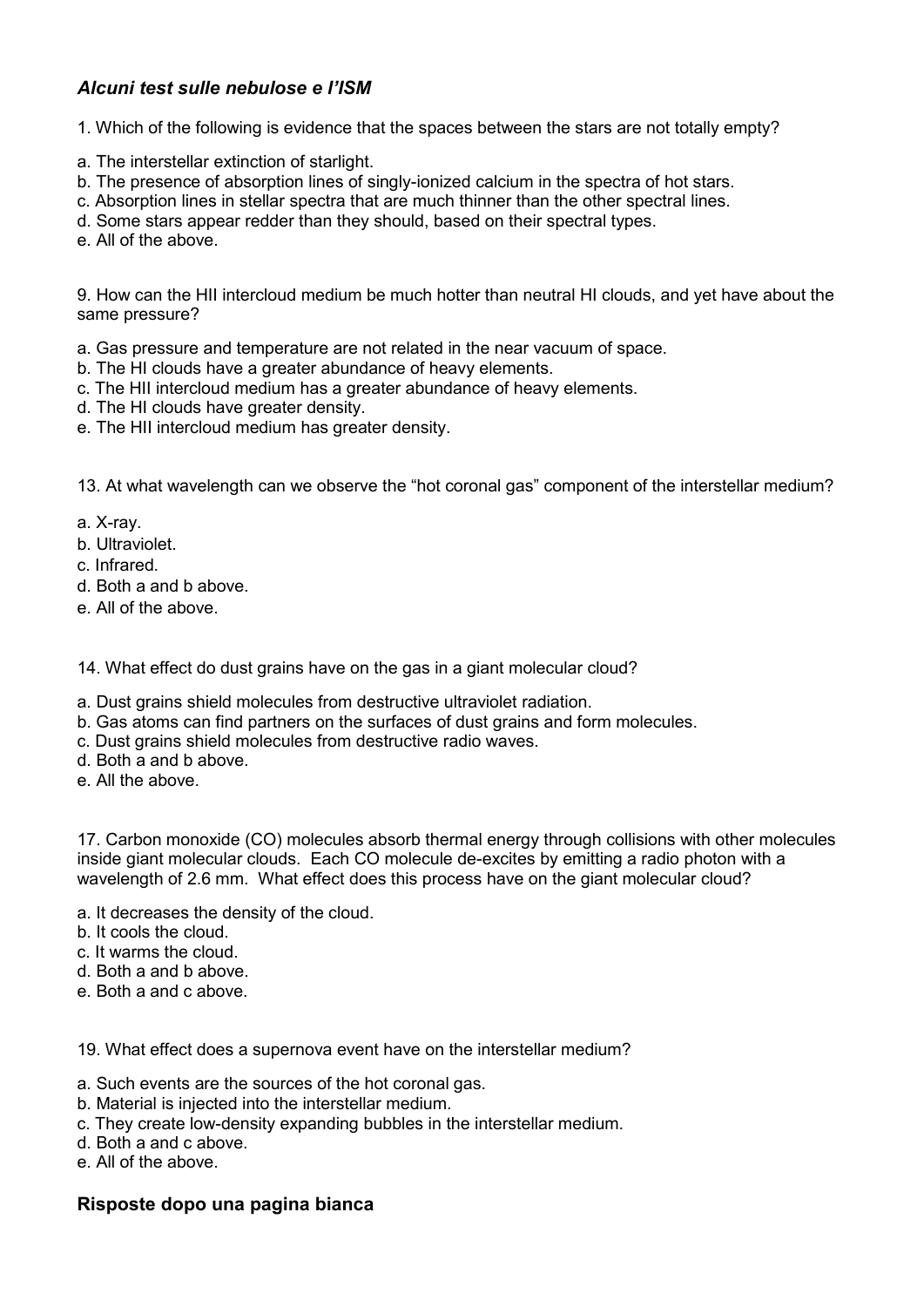## *Alcuni test sulle nebulose e l'ISM*

1. Which of the following is evidence that the spaces between the stars are not totally empty?

- a. The interstellar extinction of starlight.
- b. The presence of absorption lines of singly-ionized calcium in the spectra of hot stars.
- c. Absorption lines in stellar spectra that are much thinner than the other spectral lines.

d. Some stars appear redder than they should, based on their spectral types.

e. All of the above.

9. How can the HII intercloud medium be much hotter than neutral HI clouds, and yet have about the same pressure?

- a. Gas pressure and temperature are not related in the near vacuum of space.
- b. The HI clouds have a greater abundance of heavy elements.
- c. The HII intercloud medium has a greater abundance of heavy elements.
- d. The HI clouds have greater density.
- e. The HII intercloud medium has greater density.

13. At what wavelength can we observe the "hot coronal gas" component of the interstellar medium?

a. X-ray.

- b. Ultraviolet.
- c. Infrared.
- d. Both a and b above.
- e. All of the above.

14. What effect do dust grains have on the gas in a giant molecular cloud?

- a. Dust grains shield molecules from destructive ultraviolet radiation.
- b. Gas atoms can find partners on the surfaces of dust grains and form molecules.
- c. Dust grains shield molecules from destructive radio waves.
- d. Both a and b above.
- e. All the above.

17. Carbon monoxide (CO) molecules absorb thermal energy through collisions with other molecules inside giant molecular clouds. Each CO molecule de-excites by emitting a radio photon with a wavelength of 2.6 mm. What effect does this process have on the giant molecular cloud?

- a. It decreases the density of the cloud.
- b. It cools the cloud.
- c. It warms the cloud.
- d. Both a and b above.
- e. Both a and c above.

19. What effect does a supernova event have on the interstellar medium?

- a. Such events are the sources of the hot coronal gas.
- b. Material is injected into the interstellar medium.
- c. They create low-density expanding bubbles in the interstellar medium.
- d. Both a and c above.
- e. All of the above.

## **Risposte dopo una pagina bianca**